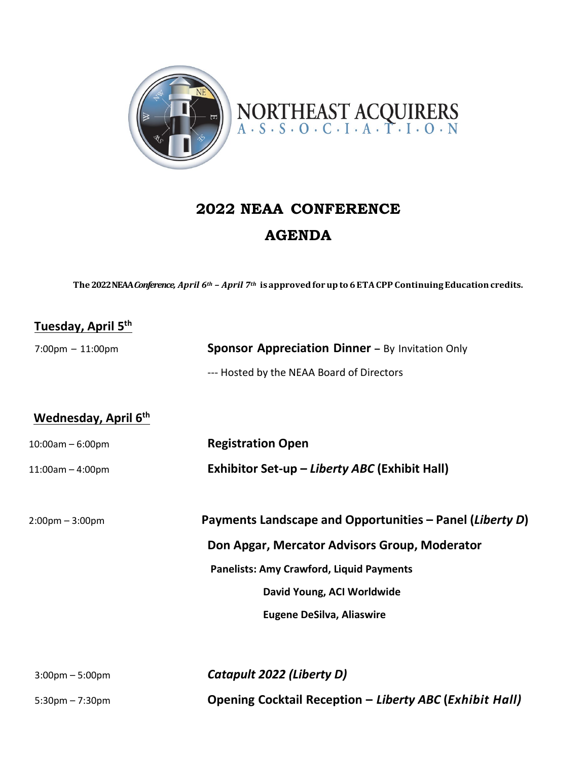

## **2022 NEAA CONFERENCE AGENDA**

**The 2022 NEAA***Conference, April 6th – April 7th* **is approvedforupto 6 ETACPP ContinuingEducationcredits.**

## **Tuesday, April 5th**

| $7:00 \text{pm} - 11:00 \text{pm}$ | <b>Sponsor Appreciation Dinner - By Invitation Only</b> |
|------------------------------------|---------------------------------------------------------|
|                                    | --- Hosted by the NEAA Board of Directors               |

## **Wednesday, April 6th**

| $10:00am - 6:00pm$                | <b>Registration Open</b>                                 |
|-----------------------------------|----------------------------------------------------------|
| $11:00am - 4:00pm$                | Exhibitor Set-up - Liberty ABC (Exhibit Hall)            |
| $2:00 \text{pm} - 3:00 \text{pm}$ | Payments Landscape and Opportunities - Panel (Liberty D) |
|                                   | Don Apgar, Mercator Advisors Group, Moderator            |
|                                   | <b>Panelists: Amy Crawford, Liquid Payments</b>          |
|                                   | David Young, ACI Worldwide                               |
|                                   | <b>Eugene DeSilva, Aliaswire</b>                         |
|                                   |                                                          |
|                                   |                                                          |

3:00pm – 5:00pm *Catapult 2022 (Liberty D)* 5:30pm – 7:30pm **Opening Cocktail Reception –** *Liberty ABC* **(***Exhibit Hall)*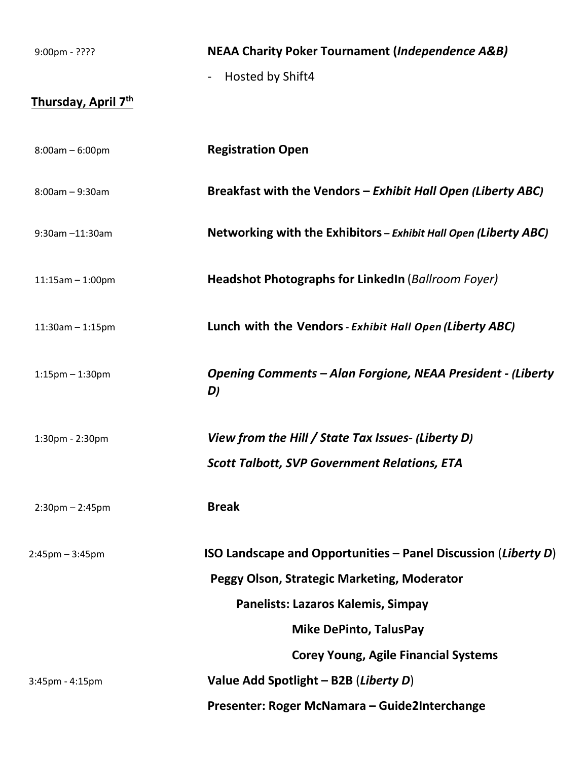| $9:00$ pm - ????      | <b>NEAA Charity Poker Tournament (Independence A&amp;B)</b>                                                     |
|-----------------------|-----------------------------------------------------------------------------------------------------------------|
| Thursday, April 7th   | Hosted by Shift4<br>$\overline{\phantom{a}}$                                                                    |
| $8:00am - 6:00pm$     | <b>Registration Open</b>                                                                                        |
| $8:00am - 9:30am$     | Breakfast with the Vendors - Exhibit Hall Open (Liberty ABC)                                                    |
| 9:30am-11:30am        | Networking with the Exhibitors - Exhibit Hall Open (Liberty ABC)                                                |
| $11:15am - 1:00pm$    | <b>Headshot Photographs for LinkedIn (Ballroom Foyer)</b>                                                       |
| $11:30am - 1:15pm$    | Lunch with the Vendors - Exhibit Hall Open (Liberty ABC)                                                        |
| $1:15$ pm $-1:30$ pm  | Opening Comments - Alan Forgione, NEAA President - (Liberty<br>D)                                               |
| 1:30pm - 2:30pm       | View from the Hill / State Tax Issues- (Liberty D)<br><b>Scott Talbott, SVP Government Relations, ETA</b>       |
| $2:30$ pm $- 2:45$ pm | <b>Break</b>                                                                                                    |
| $2:45$ pm $-3:45$ pm  | ISO Landscape and Opportunities $-$ Panel Discussion (Liberty D)<br>Peggy Olson, Strategic Marketing, Moderator |
|                       | Panelists: Lazaros Kalemis, Simpay                                                                              |
|                       | <b>Mike DePinto, TalusPay</b>                                                                                   |
|                       | <b>Corey Young, Agile Financial Systems</b>                                                                     |
| 3:45pm - 4:15pm       | Value Add Spotlight - B2B (Liberty D)                                                                           |
|                       | Presenter: Roger McNamara - Guide2Interchange                                                                   |